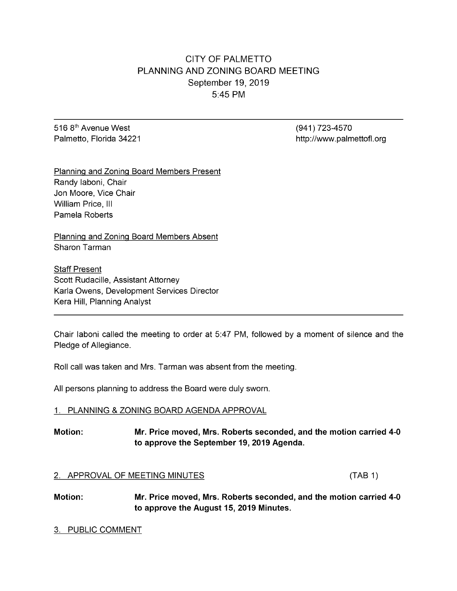# CITY OF PALMETTO PLANNING AND ZONING BOARD MEETING September 19, 2019 5:45 PM

516 8<sup>th</sup> Avenue West (941) 723-4570

Palmetto, Florida 34221 http://www.palmettofl.org

Planning and Zoning Board Members Present Randy Iaboni, Chair Jon Moore, Vice Chair William Price, III Pamela Roberts

Planning and Zoning Board Members Absent Sharon Tarman

**Staff Present** Scott Rudacille, Assistant Attorney Karla Owens, Development Services Director Kera Hill, Planning Analyst

Chair laboni called the meeting to order at 5:47 PM, followed by a moment of silence and the Pledge of Allegiance.

Roll call was taken and Mrs. Tarman was absent from the meeting.

All persons planning to address the Board were duly sworn.

### 1. PLANNING & ZONING BOARD AGENDA APPROVAL

# Motion: Mr. Price moved, Mrs. Roberts seconded, and the motion carried 4-0 to approve the September 19, 2019 Agenda.

### 2. APPROVAL OF MEETING MINUTES (TAB 1)

Motion: Mr. Price moved, Mrs. Roberts seconded, and the motion carried 4-0 to approve the August 15, 2019 Minutes.

#### 3. PUBLIC COMMENT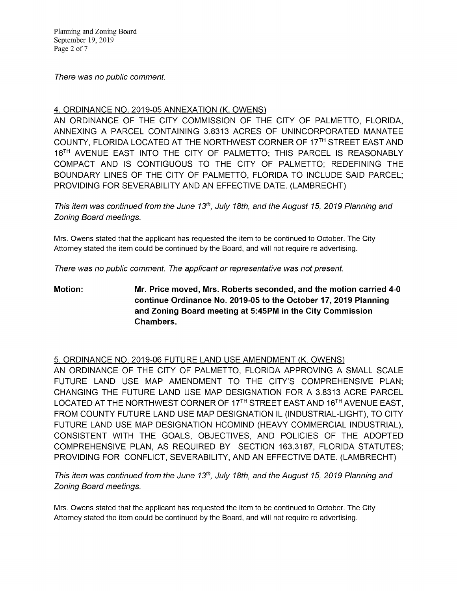Planning and Zoning Board September 19, 2019 Page 2 of 7

There was no public comment.

# 4. ORDINANCE NO. 2019-05ANNEXATION (K. OWENS)

AN ORDINANCE OF THE CITY COMMISSION OF THE CITY OF PALMETTO, FLORIDA, ANNEXING A PARCEL CONTAINING 3.8313 ACRES OF UNINCORPORATED MANATEE COUNTY, FLORIDA LOCATED AT THE NORTHWEST CORNER OF 17TH STREET EAST AND 16<sup>TH</sup> AVENUE EAST INTO THE CITY OF PALMETTO; THIS PARCEL IS REASONABLY COMPACT AND IS CONTIGUOUS TO THE CITY OF PALMETTO; REDEFINING THE BOUNDARY LINES OF THE CITY OF PALMETTO, FLORIDA TO INCLUDE SAID PARCEL; PROVIDING FOR SEVERABILITY AND AN EFFECTIVE DATE. (LAMBRECHT)

This item was continued from the June 13<sup>th</sup>, July 18th, and the August 15, 2019 Planning and Zoning Board meetings.

Mrs. Owens stated that the applicant has requested the item to be continued to October. The City Attorney stated the item could be continued by the Board, and will not require re advertising.

There was no public comment. The applicant or representative was not present.

Motion: Mr. Price moved, Mrs. Roberts seconded, and the motion carried 4-0 continue Ordinance No. 2019-05 to the October 17, 2019 Planning and Zoning Board meeting at 5:45PM in the City Commission Chambers.

### 5. ORDINANCE NO. 2019-06 FUTURE LAND USE AMENDMENT (K. OWENS)

AN ORDINANCE OF THE CITY OF PALMETTO, FLORIDA APPROVING A SMALL SCALE FUTURE LAND USE MAP AMENDMENT TO THE CITY'S COMPREHENSIVE PLAN; CHANGING THE FUTURE LAND USE MAP DESIGNATION FOR A 3.8313 ACRE PARCEL LOCATED AT THE NORTHWEST CORNER OF 17<sup>TH</sup> STREET EAST AND 16<sup>TH</sup> AVENUE EAST, FROM COUNTY FUTURE LAND USE MAP DESIGNATION IL (INDUSTRIAL-LIGHT), TO CITY FUTURE LAND USE MAP DESIGNATION HCOMIND (HEAVY COMMERCIAL INDUSTRIAL), CONSISTENT WITH THE GOALS, OBJECTIVES, AND POLICIES OF THE ADOPTED COMPREHENSIVE PLAN, AS REQUIRED BY SECTION 163.3187, FLORIDA STATUTES; PROVIDING FOR CONFLICT, SEVERABILITY, AND AN EFFECTIVE DATE. (LAMBRECHT)

This item was continued from the June 13<sup>th</sup>, July 18th, and the August 15, 2019 Planning and Zoning Board meetings.

Mrs. Owens stated that the applicant has requested the item to be continued to October. The City Attorney stated the item could be continued by the Board, and will not require re advertising.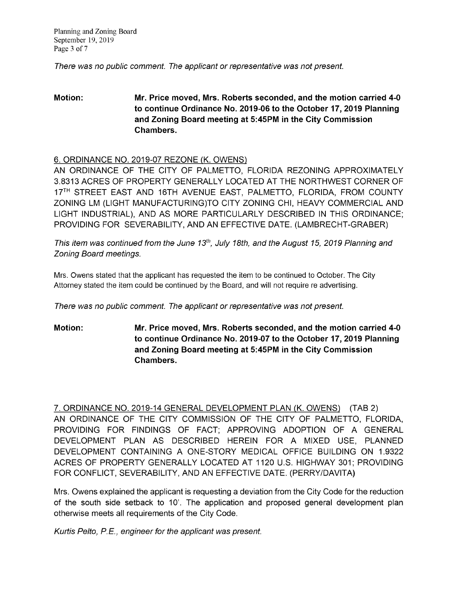Planning and Zoning Board September 19, 2019 Page 3 of 7

There was no public comment. The applicant or representative was not present.

# Motion: Mr. Price moved, Mrs. Roberts seconded, and the motion carried 4-0 to continue Ordinance No. 2019-06 to the October 17, 2019 Planning and Zoning Board meeting at 5:45PM in the City Commission Chambers.

# 6. ORDINANCE NO. 2019-07 REZONE (K. OWENS)

AN ORDINANCE OF THE CITY OF PALMETTO, FLORIDA REZONING APPROXIMATELY 3.8313 ACRES OF PROPERTY GENERALLY LOCATED AT THE NORTHWEST CORNER OF 17<sup>TH</sup> STREET EAST AND 16TH AVENUE EAST, PALMETTO, FLORIDA, FROM COUNTY ZONING LM (LIGHT MANUFACTURING)TO CITY ZONING CHI, HEAVY COMMERCIAL AND LIGHT INDUSTRIAL), AND AS MORE PARTICULARLY DESCRIBED IN THIS ORDINANCE; PROVIDING FOR SEVERABILITY, ANDANEFFECTIVE DATE. (LAMBRECHT-GRABER)

This item was continued from the June 13<sup>th</sup>, July 18th, and the August 15, 2019 Planning and Zoning Board meetings.

Mrs. Owens stated that the applicant has requested the item to be continued to October. The City Attorney stated the item could be continued by the Board, and will not require re advertising.

There was no public comment. The applicant or representative was not present.

Motion: Mr. Price moved, Mrs. Roberts seconded, and themotion carried 4-0 to continue Ordinance No. 2019-07 to the October 17, 2019 Planning and Zoning Board meeting at 5:45PM in the City Commission Chambers.

7. ORDINANCE NO. 2019-14GENERAL DEVELOPMENT PLAN (K. OWENS) ( TAB2) AN ORDINANCE OF THE CITY COMMISSION OF THE CITY OF PALMETTO, FLORIDA, PROVIDING FOR FINDINGS OF FACT; APPROVING ADOPTION OF A GENERAL DEVELOPMENT PLAN AS DESCRIBED HEREIN FOR A MIXED USE, PLANNED DEVELOPMENT CONTAINING A ONE-STORY MEDICAL OFFICE BUILDING ON 1.9322 ACRES OF PROPERTY GENERALLY LOCATED AT 1120 U.S. HIGHWAY 301; PROVIDING FOR CONFLICT, SEVERABILITY, AND AN EFFECTIVE DATE. (PERRY/DAVITA)

Mrs. Owens explained the applicant is requesting a deviation from the City Code for the reduction of the south side setback to 10'. The application and proposed general development plan otherwise meets all requirements of the City Code.

Kurtis Pelto, P.E., engineer for the applicant was present.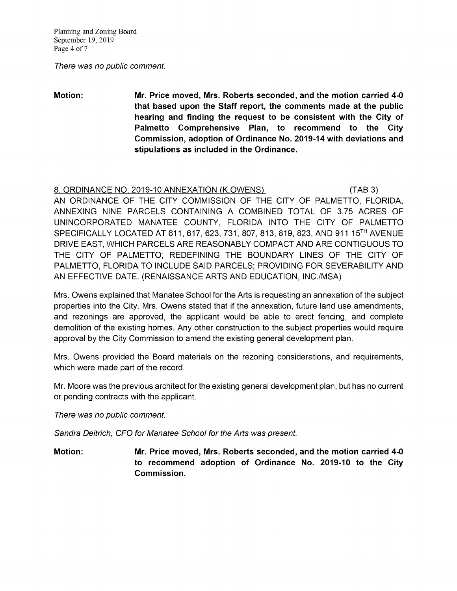Planning and Zoning Board September 19, 2019 Page 4 of 7

There was no public comment.

Motion: Mr. Price moved, Mrs. Roberts seconded, and the motion carried 4-0 that based upon the Staff report, the comments made at the public hearing and finding the request to be consistent with the City of Palmetto Comprehensive Plan, to recommend to the City Commission, adoption of Ordinance No. 2019-14 with deviations and stipulations as included in the Ordinance.

# 8. ORDINANCE NO. 2019-10 ANNEXATION (K.OWENS) (TAB 3) AN ORDINANCE OF THE CITY COMMISSION OF THE CITY OF PALMETTO, FLORIDA, ANNEXING NINE PARCELS CONTAINING A COMBINED TOTAL OF 3.75 ACRES OF UNINCORPORATED MANATEE COUNTY, FLORIDA INTO THE CITY OF PALMETTO SPECIFICALLY LOCATED AT 611, 617, 623, 731, 807, 813, 819, 823, AND 911 15<sup>TH</sup> AVENUE DRIVE EAST, WHICH PARCELS ARE REASONABLY COMPACT AND ARE CONTIGUOUS TO THE CITY OF PALMETTO; REDEFINING THE BOUNDARY LINES OF THE CITY OF PALMETTO, FLORIDA TO INCLUDE SAID PARCELS; PROVIDING FOR SEVERABILITY AND AN EFFECTIVE DATE. (RENAISSANCE ARTS AND EDUCATION, INC./MSA)

Mrs. Owens explained that Manatee School for the Arts is requesting an annexation of the subject properties into the City. Mrs. Owens stated that if the annexation, future land use amendments, and rezonings are approved, the applicant would be able to erect fencing, and complete demolition of the existing homes. Any other construction to the subject properties would require approval by the City Commission to amend the existing general development plan.

Mrs. Owens provided the Board materials on the rezoning considerations, and requirements, which were made part of the record.

Mr. Moore was the previous architect for the existing general development plan, but has no current or pending contracts with the applicant.

There was no public comment.

Sandra Deitrich, CFO for Manatee School for the Arts was present.

Motion: Mr. Price moved, Mrs. Roberts seconded, and the motion carried 4-0 to recommend adoption of Ordinance No. 2019-10 to the City Commission.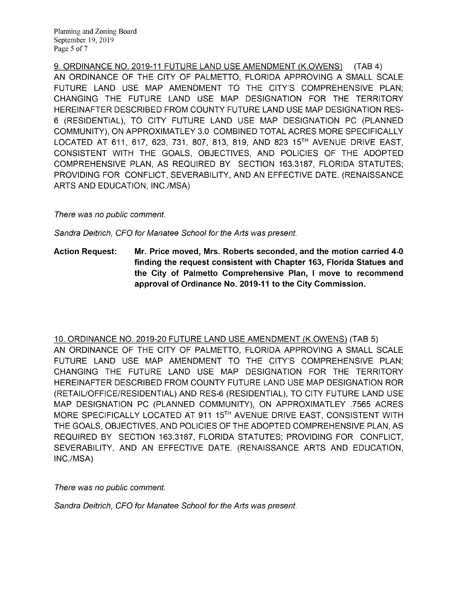9. ORDINANCE NO. 2019-11 FUTURE LAND USE AMENDMENT (K.OWENS) (TAB 4) AN ORDINANCE OF THE CITY OF PALMETTO, FLORIDA APPROVING A SMALL SCALE FUTURE LAND USE MAP AMENDMENT TO THE CITY'S COMPREHENSIVE PLAN; CHANGING THE FUTURE LAND USE MAP DESIGNATION FOR THE TERRITORY HEREINAFTER DESCRIBED FROM COUNTY FUTURE LAND USE MAP DESIGNATION RES-6 (RESIDENTIAL), TO CITY FUTURE LAND USE MAP DESIGNATION PC (PLANNED COMMUNITY), ON APPROXIMATLEY 3.0 COMBINED TOTAL ACRES MORE SPECIFICALLY LOCATED AT 611, 617, 623, 731, 807, 813, 819, AND 823 15<sup>TH</sup> AVENUE DRIVE EAST, CONSISTENT WITH THE GOALS, OBJECTIVES, AND POLICIES OF THE ADOPTED COMPREHENSIVE PLAN, AS REQUIRED BY SECTION 163.3187, FLORIDA STATUTES; PROVIDING FOR CONFLICT, SEVERABILITY, AND AN EFFECTIVE DATE. (RENAISSANCE ARTS AND EDUCATION, INC./MSA)

There was no public comment.

Sandra Deitrich, CFO for Manatee School for the Arts was present.

Action Request: Mr. Price moved, Mrs. Roberts seconded, and the motion carried 4-0 finding the request consistent with Chapter 163, Florida Statues and the City of Palmetto Comprehensive Plan, I move to recommend approval of Ordinance No. 2019-11 to the City Commission.

10. ORDINANCE NO. 2019-20FUTURE LANDUSEAMENDMENT (K.OWENS) (TAB5) AN ORDINANCE OF THE CITY OF PALMETTO, FLORIDA APPROVING A SMALL SCALE FUTURE LAND USE MAP AMENDMENT TO THE CITY'S COMPREHENSIVE PLAN; CHANGING THE FUTURE LAND USE MAP DESIGNATION FOR THE TERRITORY HEREINAFTER DESCRIBED FROM COUNTY FUTURE LAND USE MAP DESIGNATION ROR (RETAIL/OFFICE/RESIDENTIAL) AND RES-6 (RESIDENTIAL), TO CITY FUTURE LAND USE MAP DESIGNATION PC (PLANNED COMMUNITY), ON APPROXIMATLEY .7565 ACRES MORE SPECIFICALLY LOCATED AT 911 15<sup>TH</sup> AVENUE DRIVE EAST, CONSISTENT WITH THE GOALS, OBJECTIVES, AND POLICIES OF THE ADOPTED COMPREHENSIVE PLAN, AS REQUIRED BY SECTION 163.3187, FLORIDA STATUTES; PROVIDING FOR CONFLICT, SEVERABILITY, AND AN EFFECTIVE DATE. (RENAISSANCE ARTS AND EDUCATION, INC./MSA)

There was no public comment.

Sandra Deitrich, CFO for Manatee School for the Arts was present.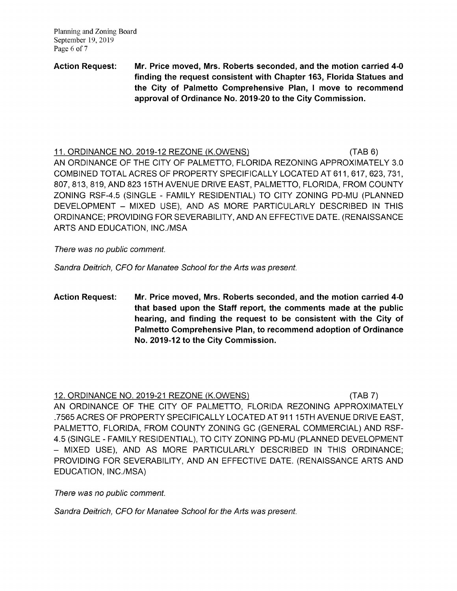Planning and Zoning Board September 19, 2019 Page 6 of 7

# Action Request: Mr. Price moved, Mrs. Roberts seconded, and the motion carried 4-0 finding the request consistent with Chapter 163, Florida Statues and the City of Palmetto Comprehensive Plan, I move to recommend approval of Ordinance No. 2019-20 to the City Commission.

11. ORDINANCE NO. 2019-12 REZONE (K.OWENS) (TAB 6) AN ORDINANCE OF THE CITY OF PALMETTO, FLORIDA REZONING APPROXIMATELY 3.0 COMBINED TOTAL ACRES OF PROPERTY SPECIFICALLY LOCATED AT 611, 617, 623, 731, 807, 813, 819, AND 823 15TH AVENUE DRIVE EAST, PALMETTO, FLORIDA, FROM COUNTY ZONING RSF-4.5 (SINGLE - FAMILY RESIDENTIAL) TO CITY ZONING PD-MU (PLANNED DEVELOPMENT - MIXED USE), AND AS MORE PARTICULARLY DESCRIBED IN THIS ORDINANCE; PROVIDING FOR SEVERABILITY, AND AN EFFECTIVE DATE. (RENAISSANCE ARTS AND EDUCATION, INC./MSA

There was no public comment.

Sandra Deitrich, CFO for Manatee School for the Arts was present.

Action Request: Mr. Price moved, Mrs. Roberts seconded, and the motion carried 4-0 that based upon the Staff report, the comments made at the public hearing, and finding the request to be consistent with the City of Palmetto Comprehensive Plan, to recommend adoption of Ordinance No. 2019-12 to the City Commission.

### 12. ORDINANCE NO. 2019-21 REZONE (K.OWENS) (TAB 7)

AN ORDINANCE OF THE CITY OF PALMETTO, FLORIDA REZONING APPROXIMATELY .7565 ACRES OF PROPERTY SPECIFICALLY LOCATED AT 911 15TH AVENUE DRIVE EAST, PALMETTO, FLORIDA, FROM COUNTY ZONING GC (GENERAL COMMERCIAL) AND RSF-4.5 (SINGLE - FAMILY RESIDENTIAL), TOCITYZONING PD-MU (PLANNED DEVELOPMENT - MIXED USE), AND AS MORE PARTICULARLY DESCRIBED IN THIS ORDINANCE; PROVIDING FOR SEVERABILITY, AND AN EFFECTIVE DATE. (RENAISSANCE ARTS AND EDUCATION, INC./MSA)

There was no public comment.

Sandra Deitrich, CFO for Manatee School for the Arts was present.